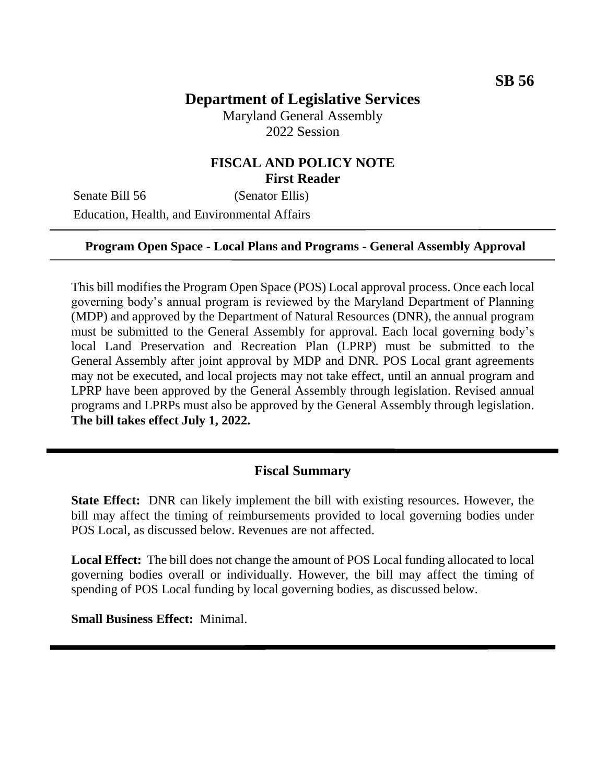# **Department of Legislative Services**

Maryland General Assembly 2022 Session

## **FISCAL AND POLICY NOTE First Reader**

Senate Bill 56 (Senator Ellis) Education, Health, and Environmental Affairs

#### **Program Open Space - Local Plans and Programs - General Assembly Approval**

This bill modifies the Program Open Space (POS) Local approval process. Once each local governing body's annual program is reviewed by the Maryland Department of Planning (MDP) and approved by the Department of Natural Resources (DNR), the annual program must be submitted to the General Assembly for approval. Each local governing body's local Land Preservation and Recreation Plan (LPRP) must be submitted to the General Assembly after joint approval by MDP and DNR. POS Local grant agreements may not be executed, and local projects may not take effect, until an annual program and LPRP have been approved by the General Assembly through legislation. Revised annual programs and LPRPs must also be approved by the General Assembly through legislation. **The bill takes effect July 1, 2022.**

### **Fiscal Summary**

**State Effect:** DNR can likely implement the bill with existing resources. However, the bill may affect the timing of reimbursements provided to local governing bodies under POS Local, as discussed below. Revenues are not affected.

**Local Effect:** The bill does not change the amount of POS Local funding allocated to local governing bodies overall or individually. However, the bill may affect the timing of spending of POS Local funding by local governing bodies, as discussed below.

**Small Business Effect:** Minimal.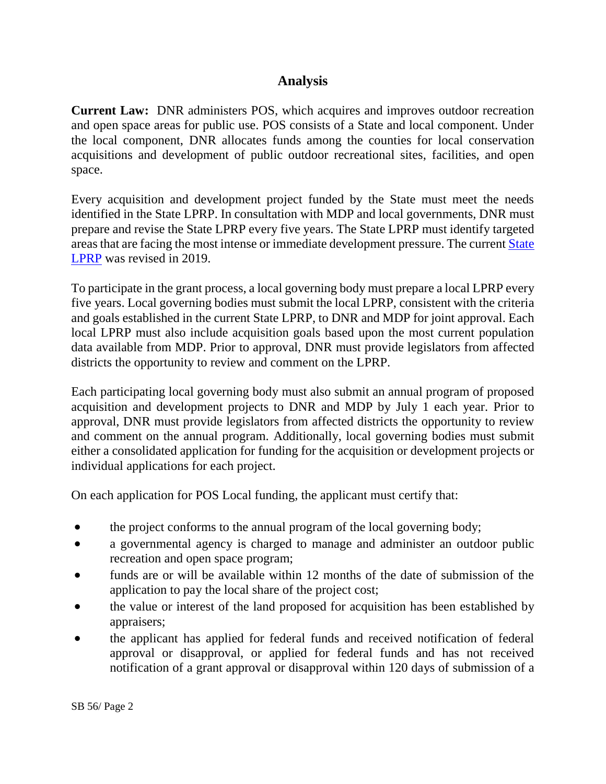## **Analysis**

**Current Law:** DNR administers POS, which acquires and improves outdoor recreation and open space areas for public use. POS consists of a State and local component. Under the local component, DNR allocates funds among the counties for local conservation acquisitions and development of public outdoor recreational sites, facilities, and open space.

Every acquisition and development project funded by the State must meet the needs identified in the State LPRP. In consultation with MDP and local governments, DNR must prepare and revise the State LPRP every five years. The State LPRP must identify targeted areas that are facing the most intense or immediate development pressure. The current [State](https://dnr.maryland.gov/land/Documents/LPRP_2019-2023/2019-2023_Maryland-LPRP.pdf)  [LPRP](https://dnr.maryland.gov/land/Documents/LPRP_2019-2023/2019-2023_Maryland-LPRP.pdf) was revised in 2019.

To participate in the grant process, a local governing body must prepare a local LPRP every five years. Local governing bodies must submit the local LPRP, consistent with the criteria and goals established in the current State LPRP, to DNR and MDP for joint approval. Each local LPRP must also include acquisition goals based upon the most current population data available from MDP. Prior to approval, DNR must provide legislators from affected districts the opportunity to review and comment on the LPRP.

Each participating local governing body must also submit an annual program of proposed acquisition and development projects to DNR and MDP by July 1 each year. Prior to approval, DNR must provide legislators from affected districts the opportunity to review and comment on the annual program. Additionally, local governing bodies must submit either a consolidated application for funding for the acquisition or development projects or individual applications for each project.

On each application for POS Local funding, the applicant must certify that:

- the project conforms to the annual program of the local governing body;
- a governmental agency is charged to manage and administer an outdoor public recreation and open space program;
- funds are or will be available within 12 months of the date of submission of the application to pay the local share of the project cost;
- the value or interest of the land proposed for acquisition has been established by appraisers;
- the applicant has applied for federal funds and received notification of federal approval or disapproval, or applied for federal funds and has not received notification of a grant approval or disapproval within 120 days of submission of a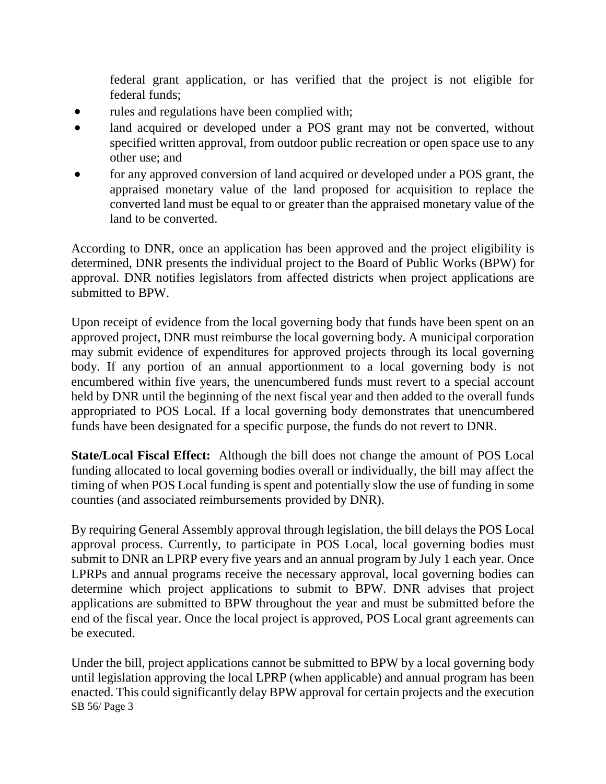federal grant application, or has verified that the project is not eligible for federal funds;

- rules and regulations have been complied with;
- land acquired or developed under a POS grant may not be converted, without specified written approval, from outdoor public recreation or open space use to any other use; and
- for any approved conversion of land acquired or developed under a POS grant, the appraised monetary value of the land proposed for acquisition to replace the converted land must be equal to or greater than the appraised monetary value of the land to be converted.

According to DNR, once an application has been approved and the project eligibility is determined, DNR presents the individual project to the Board of Public Works (BPW) for approval. DNR notifies legislators from affected districts when project applications are submitted to BPW.

Upon receipt of evidence from the local governing body that funds have been spent on an approved project, DNR must reimburse the local governing body. A municipal corporation may submit evidence of expenditures for approved projects through its local governing body. If any portion of an annual apportionment to a local governing body is not encumbered within five years, the unencumbered funds must revert to a special account held by DNR until the beginning of the next fiscal year and then added to the overall funds appropriated to POS Local. If a local governing body demonstrates that unencumbered funds have been designated for a specific purpose, the funds do not revert to DNR.

**State/Local Fiscal Effect:** Although the bill does not change the amount of POS Local funding allocated to local governing bodies overall or individually, the bill may affect the timing of when POS Local funding is spent and potentially slow the use of funding in some counties (and associated reimbursements provided by DNR).

By requiring General Assembly approval through legislation, the bill delays the POS Local approval process. Currently, to participate in POS Local, local governing bodies must submit to DNR an LPRP every five years and an annual program by July 1 each year. Once LPRPs and annual programs receive the necessary approval, local governing bodies can determine which project applications to submit to BPW. DNR advises that project applications are submitted to BPW throughout the year and must be submitted before the end of the fiscal year. Once the local project is approved, POS Local grant agreements can be executed.

SB 56/ Page 3 Under the bill, project applications cannot be submitted to BPW by a local governing body until legislation approving the local LPRP (when applicable) and annual program has been enacted. This could significantly delay BPW approval for certain projects and the execution